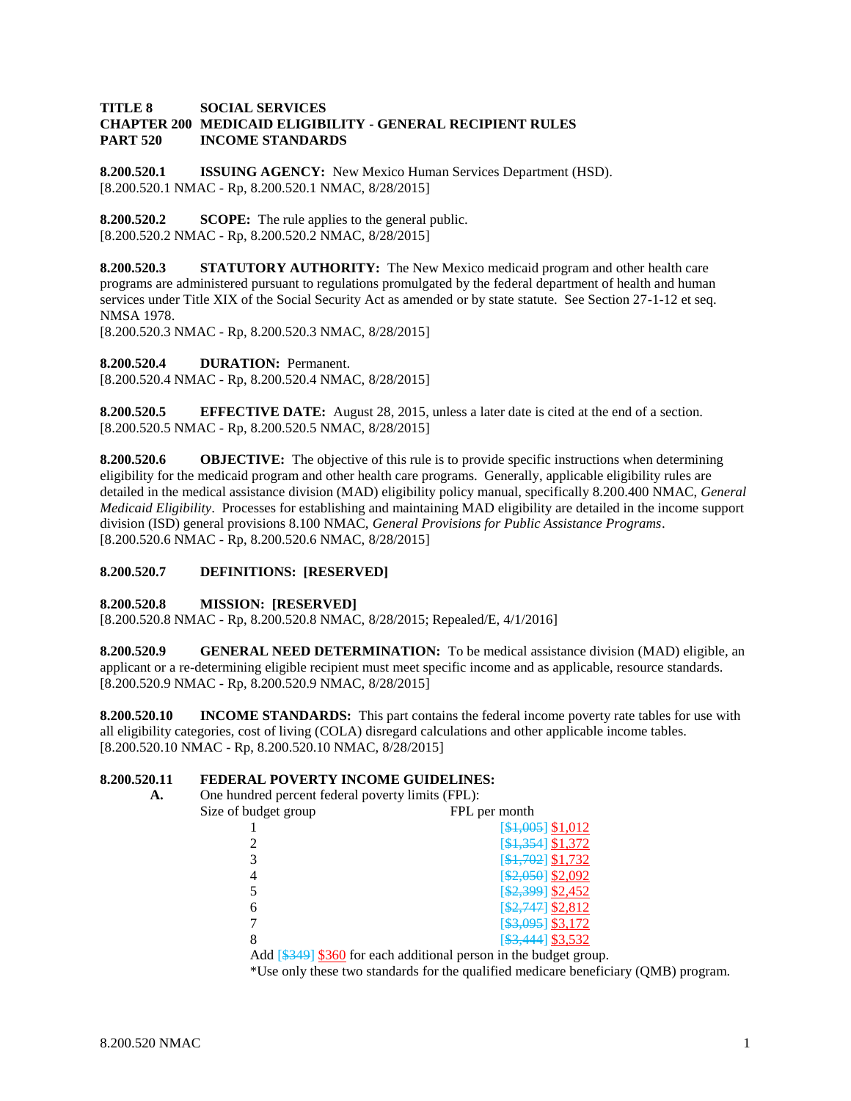#### **TITLE 8 SOCIAL SERVICES CHAPTER 200 MEDICAID ELIGIBILITY - GENERAL RECIPIENT RULES PART 520 INCOME STANDARDS**

**8.200.520.1 ISSUING AGENCY:** New Mexico Human Services Department (HSD). [8.200.520.1 NMAC - Rp, 8.200.520.1 NMAC, 8/28/2015]

**8.200.520.2 SCOPE:** The rule applies to the general public. [8.200.520.2 NMAC - Rp, 8.200.520.2 NMAC, 8/28/2015]

**8.200.520.3 STATUTORY AUTHORITY:** The New Mexico medicaid program and other health care programs are administered pursuant to regulations promulgated by the federal department of health and human services under Title XIX of the Social Security Act as amended or by state statute. See Section 27-1-12 et seq. NMSA 1978.

[8.200.520.3 NMAC - Rp, 8.200.520.3 NMAC, 8/28/2015]

**8.200.520.4 DURATION:** Permanent.

[8.200.520.4 NMAC - Rp, 8.200.520.4 NMAC, 8/28/2015]

**8.200.520.5 EFFECTIVE DATE:** August 28, 2015, unless a later date is cited at the end of a section. [8.200.520.5 NMAC - Rp, 8.200.520.5 NMAC, 8/28/2015]

**8.200.520.6 OBJECTIVE:** The objective of this rule is to provide specific instructions when determining eligibility for the medicaid program and other health care programs. Generally, applicable eligibility rules are detailed in the medical assistance division (MAD) eligibility policy manual, specifically 8.200.400 NMAC, *General Medicaid Eligibility*. Processes for establishing and maintaining MAD eligibility are detailed in the income support division (ISD) general provisions 8.100 NMAC, *General Provisions for Public Assistance Programs*. [8.200.520.6 NMAC - Rp, 8.200.520.6 NMAC, 8/28/2015]

#### **8.200.520.7 DEFINITIONS: [RESERVED]**

#### **8.200.520.8 MISSION: [RESERVED]**

[8.200.520.8 NMAC - Rp, 8.200.520.8 NMAC, 8/28/2015; Repealed/E, 4/1/2016]

**8.200.520.9 GENERAL NEED DETERMINATION:** To be medical assistance division (MAD) eligible, an applicant or a re-determining eligible recipient must meet specific income and as applicable, resource standards. [8.200.520.9 NMAC - Rp, 8.200.520.9 NMAC, 8/28/2015]

**8.200.520.10 INCOME STANDARDS:** This part contains the federal income poverty rate tables for use with all eligibility categories, cost of living (COLA) disregard calculations and other applicable income tables. [8.200.520.10 NMAC - Rp, 8.200.520.10 NMAC, 8/28/2015]

#### **8.200.520.11 FEDERAL POVERTY INCOME GUIDELINES:**

| А. | One hundred percent federal poverty limits (FPL): |                                                                                            |  |
|----|---------------------------------------------------|--------------------------------------------------------------------------------------------|--|
|    | Size of budget group                              | FPL per month                                                                              |  |
|    |                                                   | $[$1,005]$ \$1,012                                                                         |  |
|    |                                                   | [\$1,354] \$1,372                                                                          |  |
|    |                                                   | [\$1,702] \$1,732                                                                          |  |
|    |                                                   | $[$2,050]$ \$2,092                                                                         |  |
|    |                                                   | $$2,399$ \$2,452                                                                           |  |
|    | 6                                                 | $[$2,747]$ \$2,812                                                                         |  |
|    |                                                   | $[$ \$3,095 $]$ \$3,172                                                                    |  |
|    | 8                                                 | $\[ $3,444] \underline{$3,532}$                                                            |  |
|    |                                                   | Add $\left[\frac{1249}{1234}\right]$ \$360 for each additional person in the budget group. |  |

\*Use only these two standards for the qualified medicare beneficiary (QMB) program.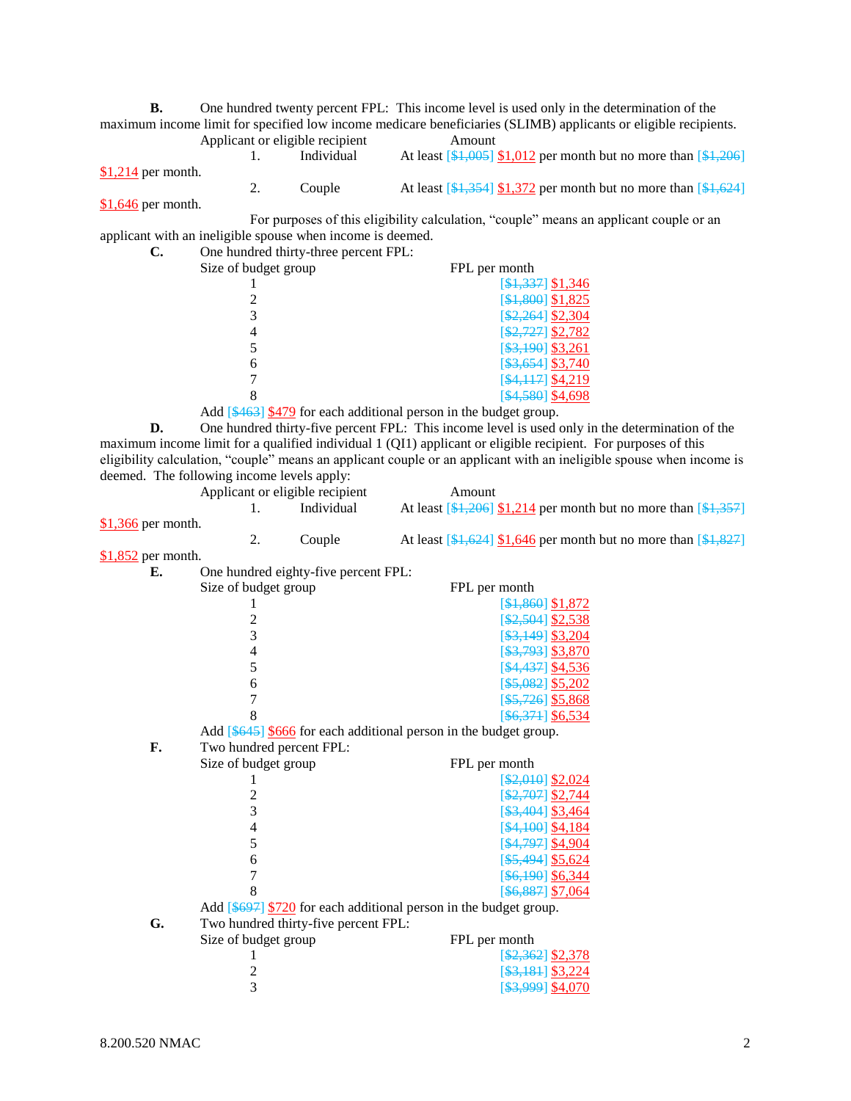**B.** One hundred twenty percent FPL: This income level is used only in the determination of the maximum income limit for specified low income medicare beneficiaries (SLIMB) applicants or eligible recipients.

Applicant or eligible recipient  $\frac{1}{1}$  At least  $\left[\frac{1}{2}, \frac{1}{2}\right]$ 1. Individual At least  $\left[\frac{1005}{1012}\right]$  per month but no more than  $\left[\frac{1206}{1012}\right]$ \$1,214 per month. 2. Couple At least  $\left[\frac{1}{31},\frac{354}{1}\right]\frac{1}{372}$  per month but no more than  $\left[\frac{1}{31},\frac{624}{1}\right]$ 

\$1,646 per month.

For purposes of this eligibility calculation, "couple" means an applicant couple or an applicant with an ineligible spouse when income is deemed.

| C. | One hundred thirty-three percent FPL: |                      |
|----|---------------------------------------|----------------------|
|    | Size of budget group                  | FPL per month        |
|    |                                       | $[$1,337]$ \$1,346   |
|    |                                       | $[$1,800]$ \$1,825   |
|    |                                       | $$2,264$ ] \$2,304   |
|    |                                       | $[$2,727]$ \$2,782   |
|    |                                       | $[$ \$3,190] \$3,261 |
|    | 6                                     | $\[ $3,654]$ \$3,740 |
|    |                                       | [\$4,117] \$4,219    |
|    |                                       | [\$4,580] \$4,698    |

Add [\$463] \$479 for each additional person in the budget group.

**D.** One hundred thirty-five percent FPL: This income level is used only in the determination of the maximum income limit for a qualified individual 1 (QI1) applicant or eligible recipient. For purposes of this eligibility calculation, "couple" means an applicant couple or an applicant with an ineligible spouse when income is deemed. The following income levels apply:

|                     | Applicant or eligible recipient |            | Amount                                                                |
|---------------------|---------------------------------|------------|-----------------------------------------------------------------------|
|                     |                                 | Individual | At least $\[ $1,206]$ \$1,214 per month but no more than $\[ $1,357]$ |
| $$1,366$ per month. |                                 |            |                                                                       |
|                     |                                 | Couple     | At least $\[4.624\]$ \$1,646 per month but no more than $\[4.827\]$   |
| -----               |                                 |            |                                                                       |

\$1,852 per month.

| Е. | One hundred eighty-five percent FPL:                               |                                       |
|----|--------------------------------------------------------------------|---------------------------------------|
|    | Size of budget group                                               | FPL per month                         |
|    |                                                                    | [\$1,860] \$1,872                     |
|    | $\overline{c}$                                                     | [ <del>\$2,504</del> ] \$2,538        |
|    | 3                                                                  | $[$ \$3,149] \$3,204                  |
|    | $\overline{4}$                                                     | $[$ \$3,793] \$3,870                  |
|    | 5                                                                  | \$4,437] \$4,536                      |
|    | 6                                                                  | [\$5,082] \$5,202                     |
|    | 7                                                                  | $[$ \$5,726] \$5,868                  |
|    | 8                                                                  | $[$6,371]$ \$6,534                    |
|    | Add [\$645] \$666 for each additional person in the budget group.  |                                       |
| F. | Two hundred percent FPL:                                           |                                       |
|    | Size of budget group                                               | FPL per month                         |
|    |                                                                    | $[ $2,010]$ \$2,024                   |
|    | $\overline{c}$                                                     | [\$2,707] \$2,744                     |
|    | 3                                                                  | [\$3,404] \$3,464                     |
|    | $\overline{4}$                                                     | $[4,100]$ \$4,184                     |
|    | 5                                                                  | [ <del>\$4,797</del> ] <u>\$4,904</u> |
|    | 6                                                                  | $[$ \$5,494] \$5,624                  |
|    | 7                                                                  | $[$ \$6,190] \$6,344                  |
|    | 8                                                                  | $[$ \$6,887] \$7,064                  |
|    | Add $[4697]$ \$720 for each additional person in the budget group. |                                       |
| G. | Two hundred thirty-five percent FPL:                               |                                       |
|    | Size of budget group                                               | FPL per month                         |
|    |                                                                    | $\[ $2,362]$ \$2,378                  |
|    | 2                                                                  | $[\frac{$3,181}{$3,224}]$             |
|    | 3                                                                  |                                       |
|    |                                                                    |                                       |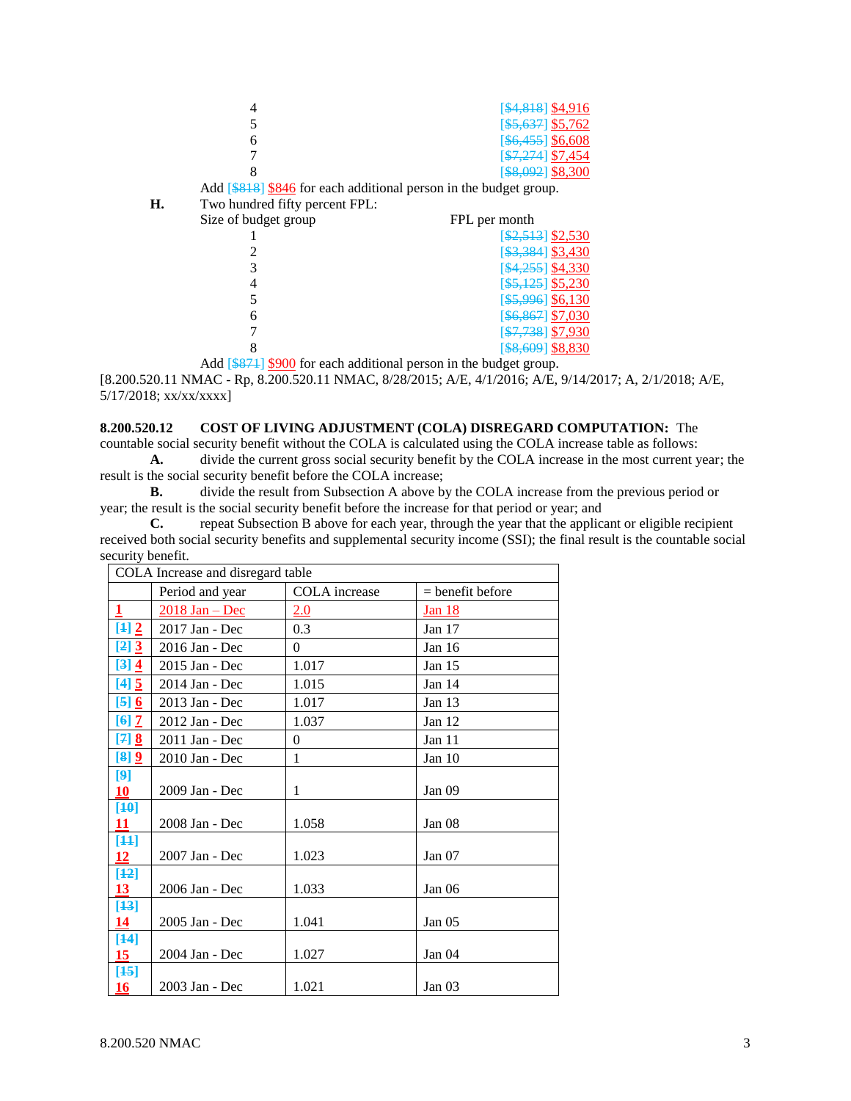|    |                                | [ <del>\$4,818</del> ] \$4,916                                    |
|----|--------------------------------|-------------------------------------------------------------------|
|    |                                | <del>\$5,637</del> \$5,762                                        |
|    | 6                              | $[$ \$6,455] \$6,608                                              |
|    |                                | $\[ $7,274]$ \$7,454                                              |
|    |                                | $[$ \$8,092] \$8,300                                              |
|    |                                | Add [\$818] \$846 for each additional person in the budget group. |
| Н. | Two hundred fifty percent FPL: |                                                                   |
|    | Size of budget group           | FPL per month                                                     |
|    |                                | $[42,513]$ \$2,530                                                |
|    |                                | $\[ $3,384]$ \$3,430                                              |
|    |                                | [\$4,255] \$4,330                                                 |
|    |                                | [ <del>\$5,125</del> ] \$5,230                                    |
|    |                                | [ <del>\$5,996</del> ] \$6,130                                    |
|    | 6                              | \$6,867 \$7,030                                                   |
|    |                                | $\frac{127,738}{100}$ \$7,930                                     |

Add [\$871] \$900 for each additional person in the budget group.

[8.200.520.11 NMAC - Rp, 8.200.520.11 NMAC, 8/28/2015; A/E, 4/1/2016; A/E, 9/14/2017; A, 2/1/2018; A/E, 5/17/2018; xx/xx/xxxx]

8 [\$8,609] \$8,830

#### **8.200.520.12 COST OF LIVING ADJUSTMENT (COLA) DISREGARD COMPUTATION:** The

countable social security benefit without the COLA is calculated using the COLA increase table as follows: **A.** divide the current gross social security benefit by the COLA increase in the most current year; the

result is the social security benefit before the COLA increase;

**B.** divide the result from Subsection A above by the COLA increase from the previous period or year; the result is the social security benefit before the increase for that period or year; and

**C.** repeat Subsection B above for each year, through the year that the applicant or eligible recipient received both social security benefits and supplemental security income (SSI); the final result is the countable social security benefit.

| COLA Increase and disregard table |                  |               |                    |
|-----------------------------------|------------------|---------------|--------------------|
|                                   | Period and year  | COLA increase | $=$ benefit before |
| $\overline{1}$                    | $2018$ Jan - Dec | 2.0           | Jan 18             |
| [4]2                              | 2017 Jan - Dec   | 0.3           | Jan $17$           |
| [2] 3                             | 2016 Jan - Dec   | $\Omega$      | Jan $16$           |
| [3] 4                             | 2015 Jan - Dec   | 1.017         | Jan 15             |
| $[4]$                             | 2014 Jan - Dec   | 1.015         | Jan 14             |
| $[5]$ 6                           | 2013 Jan - Dec   | 1.017         | Jan 13             |
| $[6]$ $\overline{2}$              | 2012 Jan - Dec   | 1.037         | Jan 12             |
| $[7]$ 8                           | 2011 Jan - Dec   | $\Omega$      | Jan $11$           |
| [8] 9                             | 2010 Jan - Dec   | 1             | Jan 10             |
| [9]                               |                  |               |                    |
| 10                                | 2009 Jan - Dec   | 1             | Jan 09             |
| $[40]$                            |                  |               |                    |
| 11                                | 2008 Jan - Dec   | 1.058         | Jan 08             |
| [44]<br>12                        | 2007 Jan - Dec   | 1.023         | Jan $07$           |
| $[42]$                            |                  |               |                    |
| 13 <sup>2</sup>                   | 2006 Jan - Dec   | 1.033         | Jan <sub>06</sub>  |
| $[43]$                            |                  |               |                    |
| <u>14</u>                         | 2005 Jan - Dec   | 1.041         | Jan 05             |
| $[44]$<br>15                      | 2004 Jan - Dec   | 1.027         | Jan 04             |
| $[45]$                            |                  |               |                    |
| 16                                | 2003 Jan - Dec   | 1.021         | Jan 03             |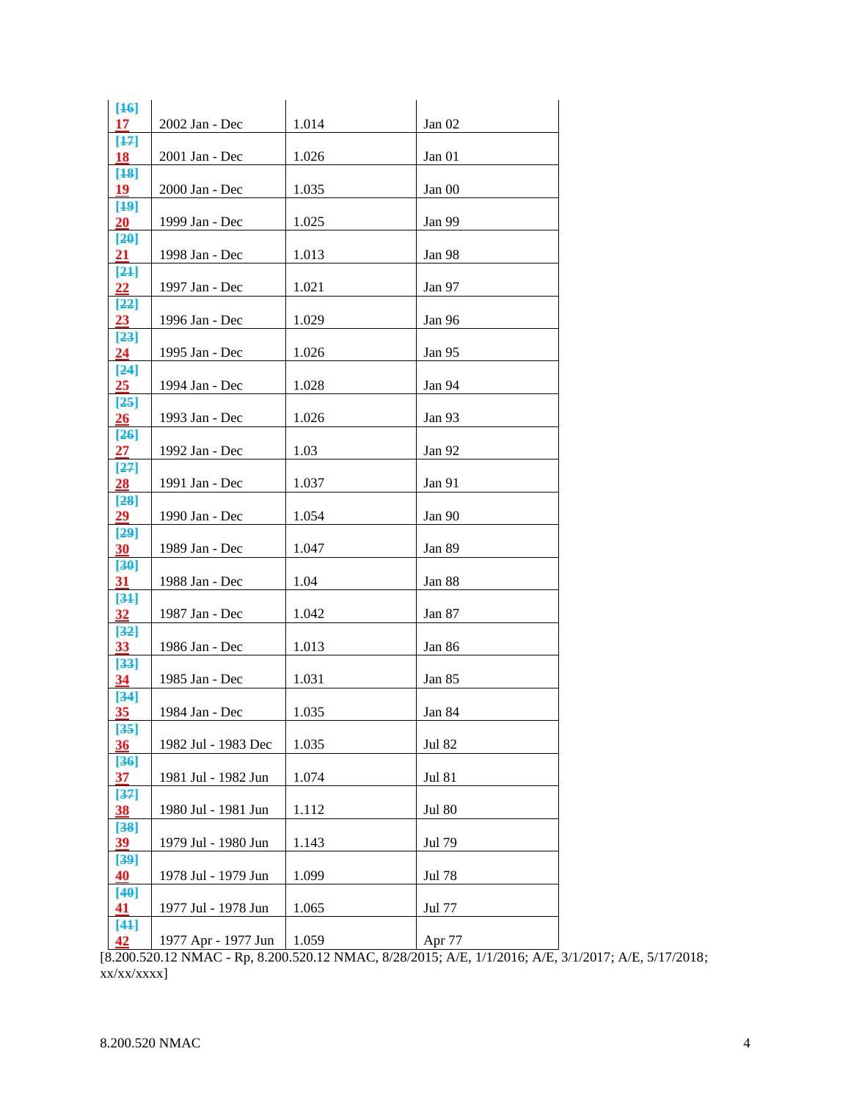| $[46]$<br>17      | 2002 Jan - Dec      | 1.014 | Jan 02        |
|-------------------|---------------------|-------|---------------|
| $[47]$<br>18      | 2001 Jan - Dec      | 1.026 | Jan 01        |
| $[48]$<br>19      | 2000 Jan - Dec      | 1.035 | Jan 00        |
| [49]              |                     |       |               |
| <b>20</b><br>[20] | 1999 Jan - Dec      | 1.025 | Jan 99        |
| 21<br>$[24]$      | 1998 Jan - Dec      | 1.013 | Jan 98        |
| 22                | 1997 Jan - Dec      | 1.021 | Jan 97        |
| [22]<br>23        | 1996 Jan - Dec      | 1.029 | Jan 96        |
| $[23]$<br>24      | 1995 Jan - Dec      | 1.026 | Jan 95        |
| $[24]$            |                     |       |               |
| 25<br>[25]        | 1994 Jan - Dec      | 1.028 | Jan 94        |
| 26<br>$[26]$      | 1993 Jan - Dec      | 1.026 | Jan 93        |
| 27                | 1992 Jan - Dec      | 1.03  | Jan 92        |
| $[27]$<br>28      | 1991 Jan - Dec      | 1.037 | Jan 91        |
| $[28]$<br>29      | 1990 Jan - Dec      | 1.054 | Jan 90        |
| [29]<br>30        | 1989 Jan - Dec      | 1.047 | Jan 89        |
| [30]<br>31        | 1988 Jan - Dec      | 1.04  | Jan 88        |
| [34]              |                     |       |               |
| 32<br>$[32]$      | 1987 Jan - Dec      | 1.042 | Jan 87        |
| 33<br>$[33]$      | 1986 Jan - Dec      | 1.013 | Jan 86        |
| 34                | 1985 Jan - Dec      | 1.031 | Jan 85        |
| $[34]$<br>35      | 1984 Jan - Dec      | 1.035 | Jan 84        |
| $[35]$<br>36      | 1982 Jul - 1983 Dec | 1.035 | <b>Jul 82</b> |
| $[36]$            | 1981 Jul - 1982 Jun | 1.074 | <b>Jul 81</b> |
| 37<br>$[37]$      |                     |       |               |
| 38<br>[38]        | 1980 Jul - 1981 Jun | 1.112 | <b>Jul 80</b> |
| 39<br>[39]        | 1979 Jul - 1980 Jun | 1.143 | Jul 79        |
| 40                | 1978 Jul - 1979 Jun | 1.099 | Jul 78        |
| [40]<br>41        | 1977 Jul - 1978 Jun | 1.065 | Jul 77        |
| $[44]$<br>42      | 1977 Apr - 1977 Jun | 1.059 | Apr 77        |

[8.200.520.12 NMAC - Rp, 8.200.520.12 NMAC, 8/28/2015; A/E, 1/1/2016; A/E, 3/1/2017; A/E, 5/17/2018; xx/xx/xxxx]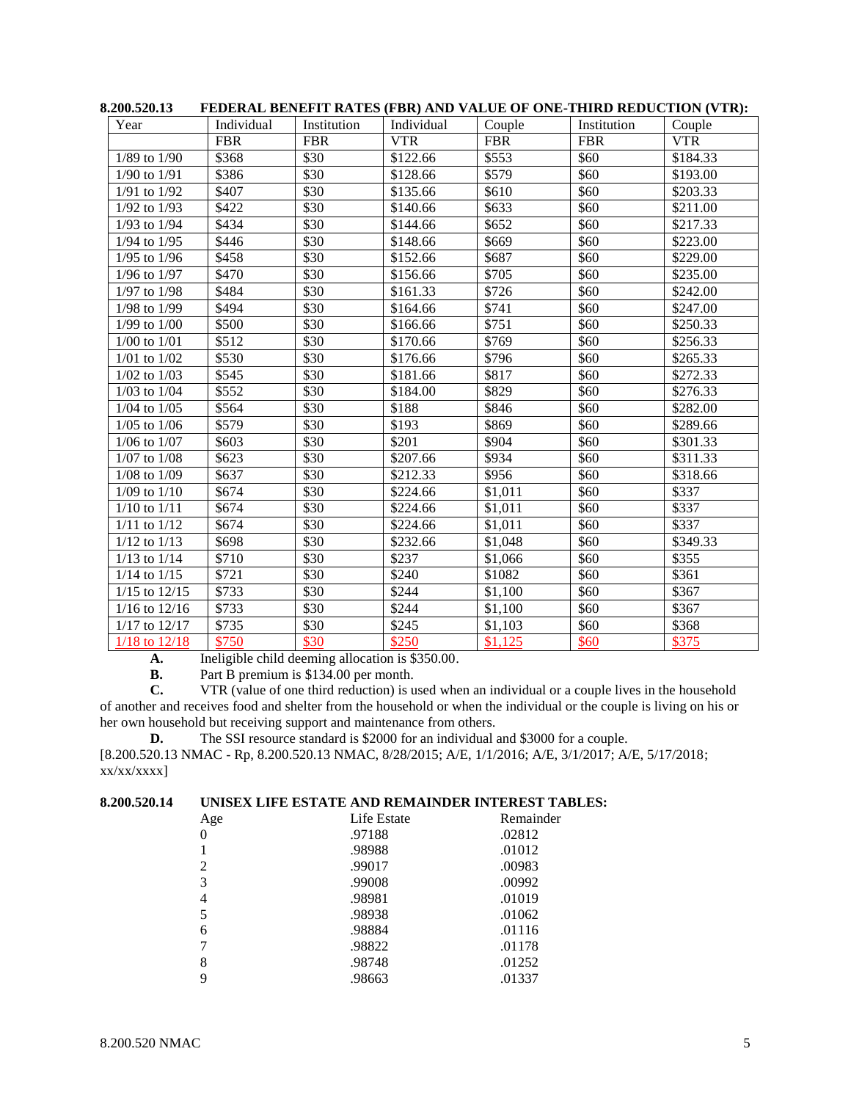| Year              | Individual | Institution | Individual | I BODINIB DDI (BITI INITID) (I DIV) III\D TIMOLI OI 'OND TIMIND INDOCTION ( I TIV);<br>Couple | Institution | Couple     |
|-------------------|------------|-------------|------------|-----------------------------------------------------------------------------------------------|-------------|------------|
|                   | <b>FBR</b> | <b>FBR</b>  | <b>VTR</b> | <b>FBR</b>                                                                                    | <b>FBR</b>  | <b>VTR</b> |
| $1/89$ to $1/90$  | \$368      | \$30        | \$122.66   | \$553                                                                                         | \$60        | \$184.33   |
| 1/90 to 1/91      | \$386      | \$30        | \$128.66   | \$579                                                                                         | \$60        | \$193.00   |
| $1/91$ to $1/92$  | \$407      | \$30        | \$135.66   | \$610                                                                                         | \$60        | \$203.33   |
| $1/92$ to $1/93$  | \$422      | \$30        | \$140.66   | \$633                                                                                         | \$60        | \$211.00   |
| $1/93$ to $1/94$  | \$434      | \$30        | \$144.66   | \$652                                                                                         | \$60        | \$217.33   |
| $1/94$ to $1/95$  | \$446      | \$30        | \$148.66   | \$669                                                                                         | \$60        | \$223.00   |
| $1/95$ to $1/96$  | \$458      | \$30        | \$152.66   | \$687                                                                                         | \$60        | \$229.00   |
| $1/96$ to $1/97$  | \$470      | \$30        | \$156.66   | \$705                                                                                         | \$60        | \$235.00   |
| 1/97 to 1/98      | \$484      | \$30        | \$161.33   | \$726                                                                                         | \$60        | \$242.00   |
| 1/98 to 1/99      | \$494      | \$30        | \$164.66   | \$741                                                                                         | \$60        | \$247.00   |
| $1/99$ to $1/00$  | \$500      | \$30        | \$166.66   | \$751                                                                                         | \$60        | \$250.33   |
| $1/00$ to $1/01$  | \$512      | \$30        | \$170.66   | \$769                                                                                         | \$60        | \$256.33   |
| $1/01$ to $1/02$  | \$530      | \$30        | \$176.66   | \$796                                                                                         | \$60        | \$265.33   |
| $1/02$ to $1/03$  | \$545      | \$30        | \$181.66   | \$817                                                                                         | \$60        | \$272.33   |
| $1/03$ to $1/04$  | \$552      | \$30        | \$184.00   | \$829                                                                                         | \$60        | \$276.33   |
| $1/04$ to $1/05$  | \$564      | \$30        | \$188      | \$846                                                                                         | \$60        | \$282.00   |
| $1/05$ to $1/06$  | \$579      | \$30        | \$193      | \$869                                                                                         | \$60        | \$289.66   |
| $1/06$ to $1/07$  | \$603      | \$30        | \$201      | \$904                                                                                         | \$60        | \$301.33   |
| $1/07$ to $1/08$  | \$623      | \$30        | \$207.66   | \$934                                                                                         | \$60        | \$311.33   |
| $1/08$ to $1/09$  | \$637      | \$30        | \$212.33   | \$956                                                                                         | \$60        | \$318.66   |
| $1/09$ to $1/10$  | \$674      | \$30        | \$224.66   | \$1,011                                                                                       | \$60        | \$337      |
| $1/10$ to $1/11$  | \$674      | \$30        | \$224.66   | \$1,011                                                                                       | \$60        | \$337      |
| $1/11$ to $1/12$  | \$674      | \$30        | \$224.66   | \$1,011                                                                                       | \$60        | \$337      |
| $1/12$ to $1/13$  | \$698      | \$30        | \$232.66   | \$1,048                                                                                       | \$60        | \$349.33   |
| $1/13$ to $1/14$  | \$710      | \$30        | \$237      | \$1,066                                                                                       | \$60        | \$355      |
| $1/14$ to $1/15$  | \$721      | \$30        | \$240      | \$1082                                                                                        | \$60        | \$361      |
| $1/15$ to $12/15$ | \$733      | \$30        | \$244      | \$1,100                                                                                       | \$60        | \$367      |
| $1/16$ to $12/16$ | \$733      | \$30        | \$244      | \$1,100                                                                                       | \$60        | \$367      |
| 1/17 to 12/17     | \$735      | \$30        | \$245      | \$1,103                                                                                       | \$60        | \$368      |
| 1/18 to 12/18     | \$750      | \$30        | \$250      | \$1,125                                                                                       | \$60        | \$375      |

**8.200.520.13 FEDERAL BENEFIT RATES (FBR) AND VALUE OF ONE-THIRD REDUCTION (VTR):**

**A.** Ineligible child deeming allocation is \$350.00.<br>**B.** Part B premium is \$134.00 per month.

**B.** Part B premium is \$134.00 per month.<br>**C.** VTR (value of one third reduction) is u

**C.** VTR (value of one third reduction) is used when an individual or a couple lives in the household of another and receives food and shelter from the household or when the individual or the couple is living on his or her own household but receiving support and maintenance from others.

**D.** The SSI resource standard is \$2000 for an individual and \$3000 for a couple.

[8.200.520.13 NMAC - Rp, 8.200.520.13 NMAC, 8/28/2015; A/E, 1/1/2016; A/E, 3/1/2017; A/E, 5/17/2018;  $xx/xx/xxxx$ ]

## **8.200.520.14 UNISEX LIFE ESTATE AND REMAINDER INTEREST TABLES:**

| Age | Life Estate | Remainder |
|-----|-------------|-----------|
| 0   | .97188      | .02812    |
|     | .98988      | .01012    |
| 2   | .99017      | .00983    |
| 3   | .99008      | .00992    |
| 4   | .98981      | .01019    |
| 5   | .98938      | .01062    |
| 6   | .98884      | .01116    |
|     | .98822      | .01178    |
| 8   | .98748      | .01252    |
|     | .98663      | .01337    |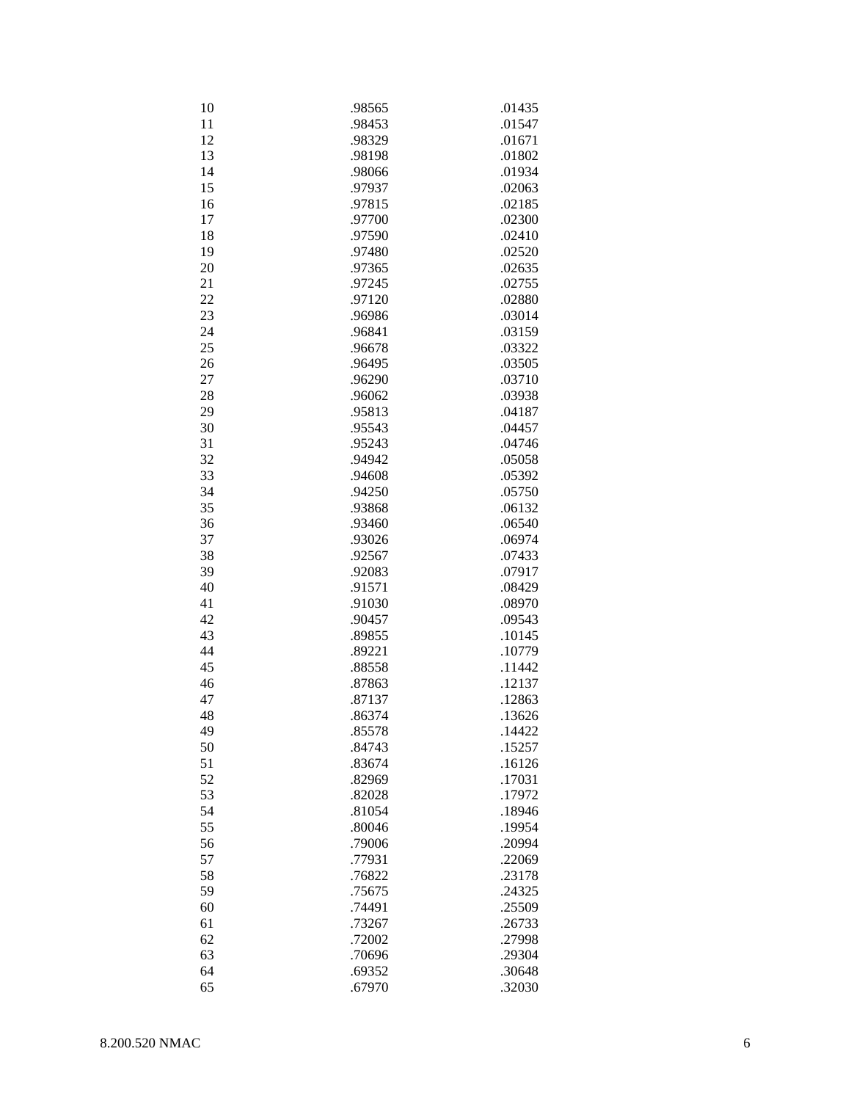| 10 | .98565 | .01435 |
|----|--------|--------|
| 11 | .98453 | .01547 |
| 12 | .98329 | .01671 |
| 13 | .98198 | .01802 |
| 14 | .98066 | .01934 |
| 15 | .97937 | .02063 |
| 16 | .97815 | .02185 |
|    |        |        |
| 17 | .97700 | .02300 |
| 18 | .97590 | .02410 |
| 19 | .97480 | .02520 |
| 20 | .97365 | .02635 |
| 21 | .97245 | .02755 |
| 22 | .97120 | .02880 |
| 23 | .96986 | .03014 |
| 24 | .96841 | .03159 |
| 25 | .96678 | .03322 |
| 26 | .96495 | .03505 |
| 27 | .96290 | .03710 |
| 28 | .96062 | .03938 |
| 29 | .95813 | .04187 |
| 30 | .95543 | .04457 |
| 31 | .95243 | .04746 |
| 32 | .94942 | .05058 |
|    |        |        |
| 33 | .94608 | .05392 |
| 34 | .94250 | .05750 |
| 35 | .93868 | .06132 |
| 36 | .93460 | .06540 |
| 37 | .93026 | .06974 |
| 38 | .92567 | .07433 |
| 39 | .92083 | .07917 |
| 40 | .91571 | .08429 |
| 41 | .91030 | .08970 |
| 42 | .90457 | .09543 |
| 43 | .89855 | .10145 |
| 44 | .89221 | .10779 |
| 45 | .88558 | .11442 |
| 46 | .87863 | .12137 |
| 47 | .87137 | .12863 |
| 48 | .86374 | .13626 |
| 49 | .85578 | .14422 |
| 50 | .84743 | .15257 |
| 51 | .83674 | .16126 |
|    |        |        |
| 52 | .82969 | .17031 |
| 53 | .82028 | .17972 |
| 54 | .81054 | .18946 |
| 55 | .80046 | .19954 |
| 56 | .79006 | .20994 |
| 57 | .77931 | .22069 |
| 58 | .76822 | .23178 |
| 59 | .75675 | .24325 |
| 60 | .74491 | .25509 |
| 61 | .73267 | .26733 |
| 62 | .72002 | .27998 |
| 63 | .70696 | .29304 |
| 64 | .69352 | .30648 |
| 65 | .67970 | .32030 |
|    |        |        |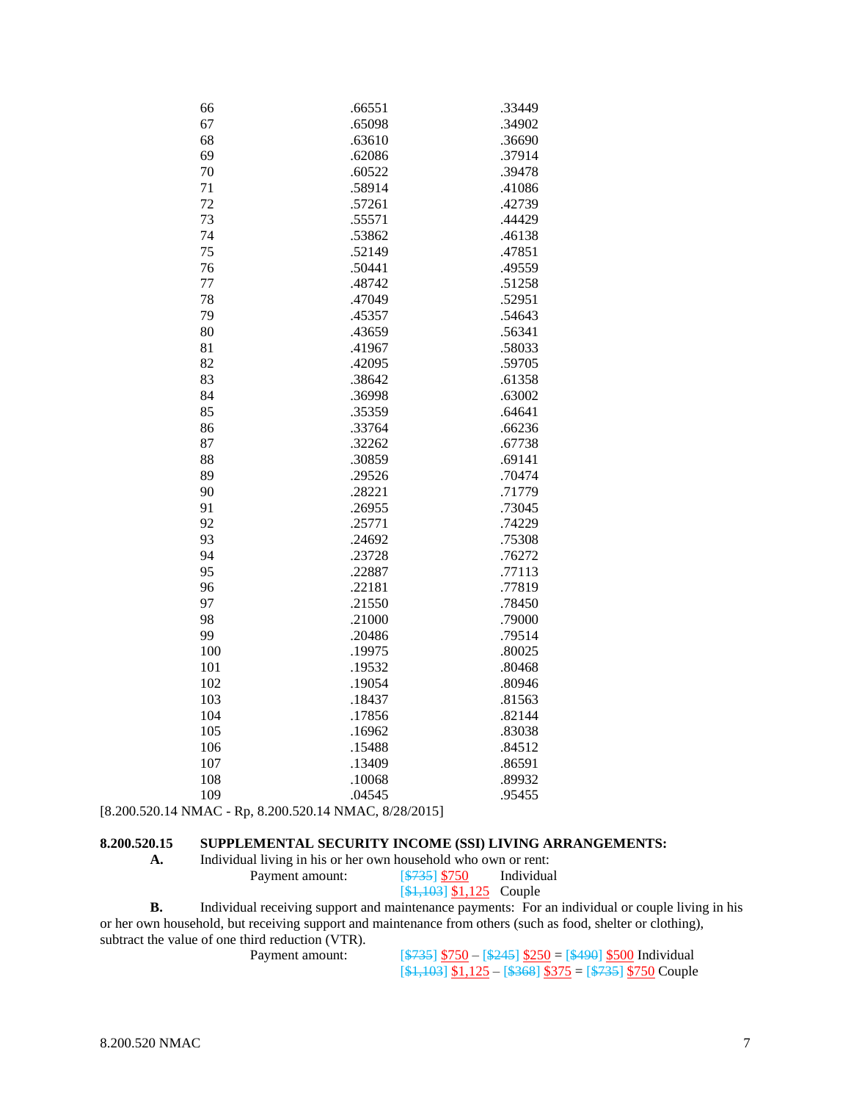| 66  | .66551 | .33449 |
|-----|--------|--------|
| 67  | .65098 | .34902 |
| 68  | .63610 | .36690 |
| 69  | .62086 | .37914 |
| 70  | .60522 | .39478 |
| 71  | .58914 | .41086 |
| 72  | .57261 | .42739 |
| 73  | .55571 | .44429 |
| 74  | .53862 | .46138 |
| 75  | .52149 | .47851 |
| 76  | .50441 | .49559 |
| 77  | .48742 | .51258 |
| 78  | .47049 | .52951 |
| 79  | .45357 | .54643 |
| 80  | .43659 | .56341 |
| 81  | .41967 | .58033 |
| 82  | .42095 | .59705 |
| 83  | .38642 | .61358 |
| 84  | .36998 | .63002 |
| 85  | .35359 | .64641 |
| 86  | .33764 | .66236 |
| 87  | .32262 | .67738 |
| 88  | .30859 | .69141 |
| 89  | .29526 | .70474 |
| 90  | .28221 | .71779 |
| 91  | .26955 | .73045 |
| 92  | .25771 | .74229 |
| 93  | .24692 | .75308 |
| 94  | .23728 | .76272 |
| 95  | .22887 | .77113 |
| 96  | .22181 | .77819 |
| 97  | .21550 | .78450 |
| 98  | .21000 | .79000 |
| 99  | .20486 | .79514 |
| 100 | .19975 | .80025 |
| 101 | .19532 | .80468 |
| 102 | .19054 | .80946 |
| 103 | .18437 | .81563 |
| 104 | .17856 | .82144 |
| 105 | .16962 | .83038 |
| 106 | .15488 | .84512 |
| 107 | .13409 | .86591 |
| 108 | .10068 | .89932 |
| 109 | .04545 | .95455 |

[8.200.520.14 NMAC - Rp, 8.200.520.14 NMAC, 8/28/2015]

### **8.200.520.15 SUPPLEMENTAL SECURITY INCOME (SSI) LIVING ARRANGEMENTS:**

| А. | Individual living in his or her own household who own or rent: |                                 |            |
|----|----------------------------------------------------------------|---------------------------------|------------|
|    | Payment amount:                                                | <b>S735 \$750</b>               | Individual |
|    |                                                                | $[\frac{$1,103}{1,125}]$ Couple |            |

**B.** Individual receiving support and maintenance payments: For an individual or couple living in his or her own household, but receiving support and maintenance from others (such as food, shelter or clothing), subtract the value of one third reduction (VTR).<br>Payment amount:

Payment amount: [\$735] \$750 – [\$245] \$250 = [\$490] \$500 Individual  $[4,103]$  \$1,125 – [\$368] \$375 = [\$735] \$750 Couple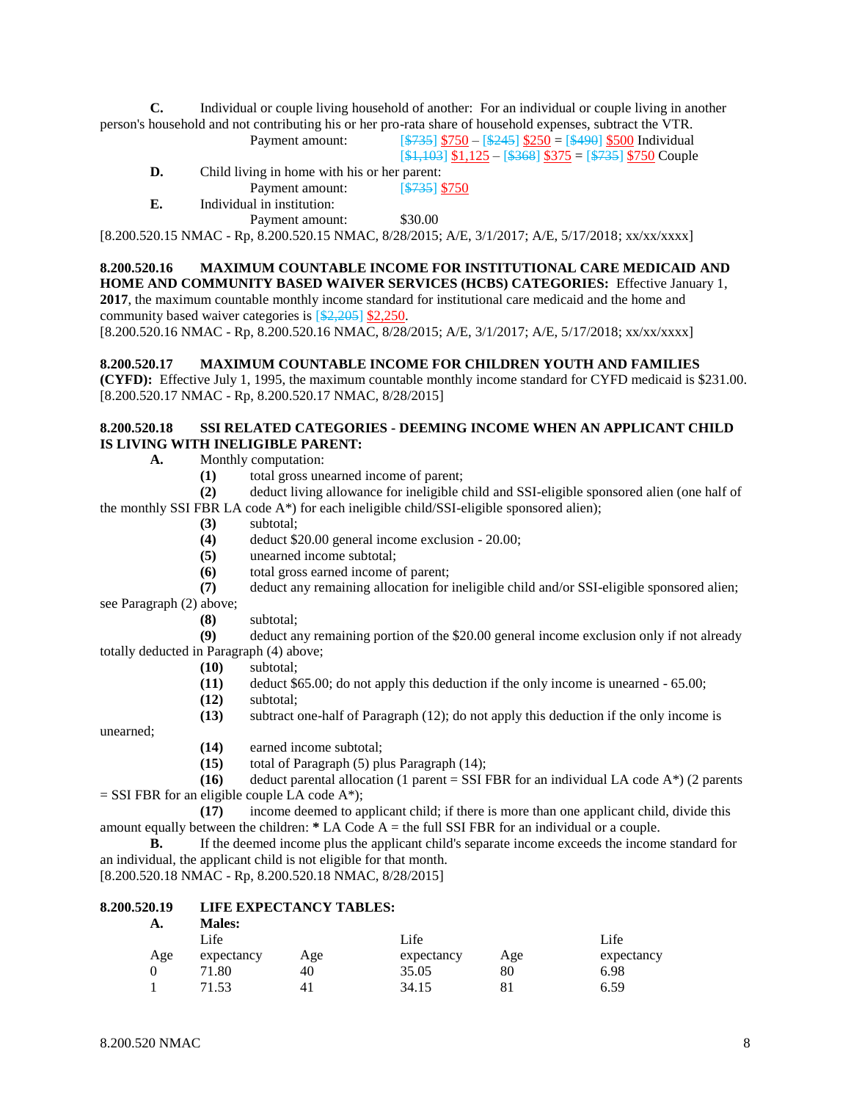**C.** Individual or couple living household of another: For an individual or couple living in another person's household and not contributing his or her pro-rata share of household expenses, subtract the VTR.

Payment amount:  $[\frac{$735}{9735}]$   $\frac{$750}{9}$  –  $[\frac{$245}{9735}]$   $\frac{$250}{9}$  = [ $\frac{$490}{9735}]$   $\frac{$500}{9735}$  Individual

 $[4,103]$  \$1,125 – [\$368] \$375 = [\$735] \$750 Couple

**D.** Child living in home with his or her parent:

- Payment amount: [\$735] \$750
- **E.** Individual in institution:

Payment amount: \$30.00

[8.200.520.15 NMAC - Rp, 8.200.520.15 NMAC, 8/28/2015; A/E, 3/1/2017; A/E, 5/17/2018; xx/xx/xxxx]

#### **8.200.520.16 MAXIMUM COUNTABLE INCOME FOR INSTITUTIONAL CARE MEDICAID AND**

**HOME AND COMMUNITY BASED WAIVER SERVICES (HCBS) CATEGORIES:** Effective January 1, **2017**, the maximum countable monthly income standard for institutional care medicaid and the home and community based waiver categories is [\$2,205] \$2,250.

[8.200.520.16 NMAC - Rp, 8.200.520.16 NMAC, 8/28/2015; A/E, 3/1/2017; A/E, 5/17/2018; xx/xx/xxxx]

#### **8.200.520.17 MAXIMUM COUNTABLE INCOME FOR CHILDREN YOUTH AND FAMILIES**

**(CYFD):** Effective July 1, 1995, the maximum countable monthly income standard for CYFD medicaid is \$231.00. [8.200.520.17 NMAC - Rp, 8.200.520.17 NMAC, 8/28/2015]

#### **8.200.520.18 SSI RELATED CATEGORIES - DEEMING INCOME WHEN AN APPLICANT CHILD IS LIVING WITH INELIGIBLE PARENT:**

**A.** Monthly computation:

**(1)** total gross unearned income of parent;

**(2)** deduct living allowance for ineligible child and SSI-eligible sponsored alien (one half of the monthly SSI FBR LA code  $A^*$ ) for each ineligible child/SSI-eligible sponsored alien);

- **(3)** subtotal;
- **(4)** deduct \$20.00 general income exclusion 20.00;
- **(5)** unearned income subtotal;
- **(6)** total gross earned income of parent;

**(7)** deduct any remaining allocation for ineligible child and/or SSI-eligible sponsored alien;

see Paragraph (2) above;

**(8)** subtotal;

**(9)** deduct any remaining portion of the \$20.00 general income exclusion only if not already totally deducted in Paragraph (4) above;

- **(10)** subtotal;
- **(11)** deduct \$65.00; do not apply this deduction if the only income is unearned 65.00;
- **(12)** subtotal;
- **(13)** subtract one-half of Paragraph (12); do not apply this deduction if the only income is

unearned;

- **(14)** earned income subtotal;
- **(15)** total of Paragraph (5) plus Paragraph (14);

**(16)** deduct parental allocation (1 parent = SSI FBR for an individual LA code A\*) (2 parents  $=$  SSI FBR for an eligible couple LA code A\*);

**(17)** income deemed to applicant child; if there is more than one applicant child, divide this amount equally between the children: **\*** LA Code A = the full SSI FBR for an individual or a couple.

**B.** If the deemed income plus the applicant child's separate income exceeds the income standard for an individual, the applicant child is not eligible for that month.

[8.200.520.18 NMAC - Rp, 8.200.520.18 NMAC, 8/28/2015]

#### **8.200.520.19 LIFE EXPECTANCY TABLES: A. Males:**

| iviales.   |     |            |     |            |
|------------|-----|------------|-----|------------|
| Life       |     | Life       |     | Life       |
| expectancy | Age | expectancy | Age | expectancy |
| 71.80      | 40  | 35.05      | 80  | 6.98       |
| 71.53      |     | 34.15      | 81  | 6.59       |
|            |     |            |     |            |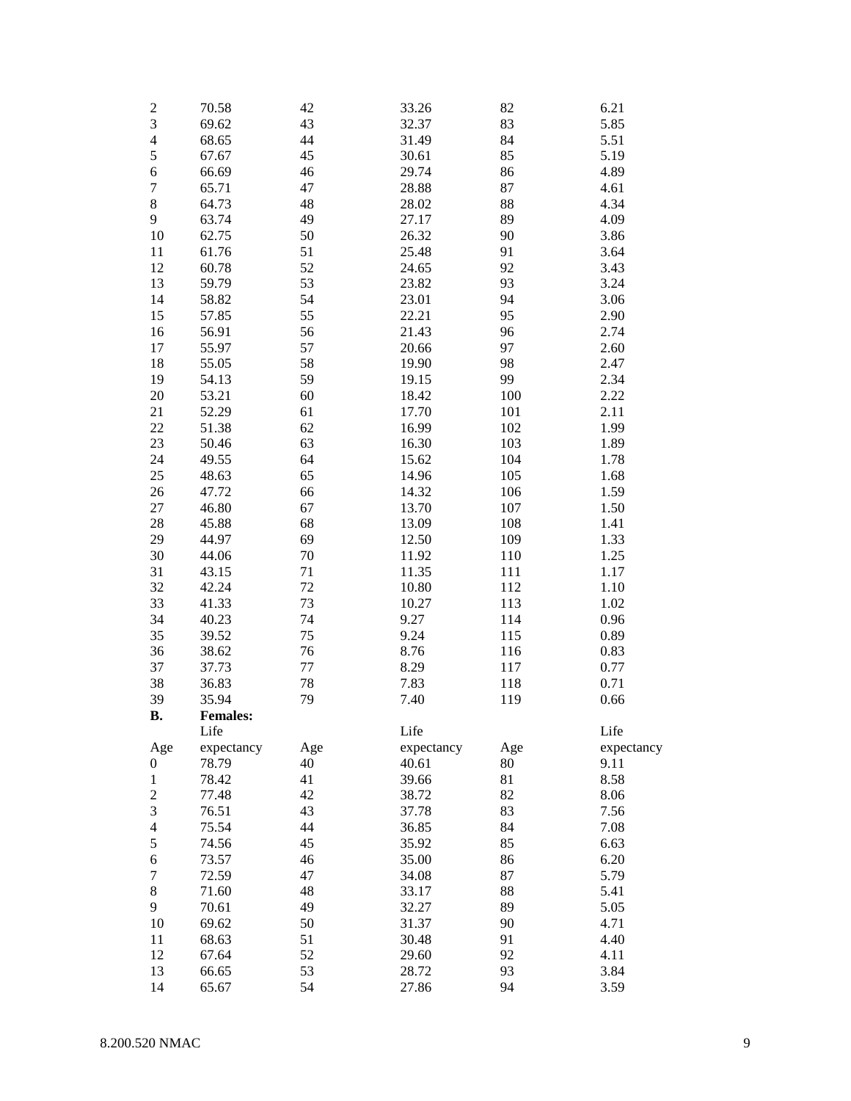| $\overline{c}$ | 70.58           | 42  | 33.26      | 82  | 6.21       |
|----------------|-----------------|-----|------------|-----|------------|
| 3              | 69.62           | 43  | 32.37      | 83  | 5.85       |
| $\overline{4}$ | 68.65           | 44  | 31.49      | 84  | 5.51       |
| 5              | 67.67           | 45  | 30.61      | 85  | 5.19       |
| $\sqrt{6}$     | 66.69           | 46  | 29.74      | 86  | 4.89       |
| $\overline{7}$ | 65.71           | 47  | 28.88      | 87  | 4.61       |
| 8              | 64.73           | 48  | 28.02      | 88  | 4.34       |
| 9              | 63.74           | 49  | 27.17      | 89  | 4.09       |
| 10             | 62.75           | 50  | 26.32      | 90  | 3.86       |
| 11             | 61.76           | 51  | 25.48      | 91  | 3.64       |
|                |                 |     |            | 92  |            |
| 12             | 60.78           | 52  | 24.65      |     | 3.43       |
| 13             | 59.79           | 53  | 23.82      | 93  | 3.24       |
| 14             | 58.82           | 54  | 23.01      | 94  | 3.06       |
| 15             | 57.85           | 55  | 22.21      | 95  | 2.90       |
| 16             | 56.91           | 56  | 21.43      | 96  | 2.74       |
| 17             | 55.97           | 57  | 20.66      | 97  | 2.60       |
| 18             | 55.05           | 58  | 19.90      | 98  | 2.47       |
| 19             | 54.13           | 59  | 19.15      | 99  | 2.34       |
| 20             | 53.21           | 60  | 18.42      | 100 | 2.22       |
| 21             | 52.29           | 61  | 17.70      | 101 | 2.11       |
| 22             | 51.38           | 62  | 16.99      | 102 | 1.99       |
| 23             | 50.46           | 63  | 16.30      | 103 | 1.89       |
| 24             | 49.55           | 64  | 15.62      | 104 | 1.78       |
| 25             | 48.63           | 65  | 14.96      | 105 | 1.68       |
| 26             | 47.72           | 66  | 14.32      | 106 | 1.59       |
| 27             | 46.80           | 67  | 13.70      | 107 | 1.50       |
| 28             | 45.88           | 68  | 13.09      | 108 | 1.41       |
| 29             | 44.97           | 69  | 12.50      | 109 | 1.33       |
| 30             | 44.06           | 70  | 11.92      | 110 | 1.25       |
| 31             | 43.15           | 71  | 11.35      | 111 | 1.17       |
| 32             | 42.24           | 72  | 10.80      | 112 | 1.10       |
| 33             |                 | 73  | 10.27      |     | 1.02       |
|                | 41.33           |     |            | 113 |            |
| 34             | 40.23           | 74  | 9.27       | 114 | 0.96       |
| 35             | 39.52           | 75  | 9.24       | 115 | 0.89       |
| 36             | 38.62           | 76  | 8.76       | 116 | 0.83       |
| 37             | 37.73           | 77  | 8.29       | 117 | 0.77       |
| 38             | 36.83           | 78  | 7.83       | 118 | 0.71       |
| 39             | 35.94           | 79  | 7.40       | 119 | 0.66       |
| <b>B.</b>      | <b>Females:</b> |     |            |     |            |
|                | Life            |     | Life       |     | Life       |
| Age            | expectancy      | Age | expectancy | Age | expectancy |
| 0              | 78.79           | 40  | 40.61      | 80  | 9.11       |
| $\mathbf{1}$   | 78.42           | 41  | 39.66      | 81  | 8.58       |
| $\overline{c}$ | 77.48           | 42  | 38.72      | 82  | 8.06       |
| 3              | 76.51           | 43  | 37.78      | 83  | 7.56       |
| 4              | 75.54           | 44  | 36.85      | 84  | 7.08       |
| 5              | 74.56           | 45  | 35.92      | 85  | 6.63       |
| 6              | 73.57           | 46  | 35.00      | 86  | 6.20       |
| 7              | 72.59           | 47  | 34.08      | 87  | 5.79       |
| $\,8\,$        | 71.60           | 48  | 33.17      | 88  | 5.41       |
| 9              | 70.61           | 49  | 32.27      | 89  | 5.05       |
| 10             | 69.62           | 50  | 31.37      | 90  | 4.71       |
| 11             | 68.63           | 51  | 30.48      | 91  | 4.40       |
| 12             | 67.64           | 52  | 29.60      | 92  | 4.11       |
| 13             |                 |     | 28.72      | 93  |            |
|                | 66.65           | 53  |            |     | 3.84       |
| 14             | 65.67           | 54  | 27.86      | 94  | 3.59       |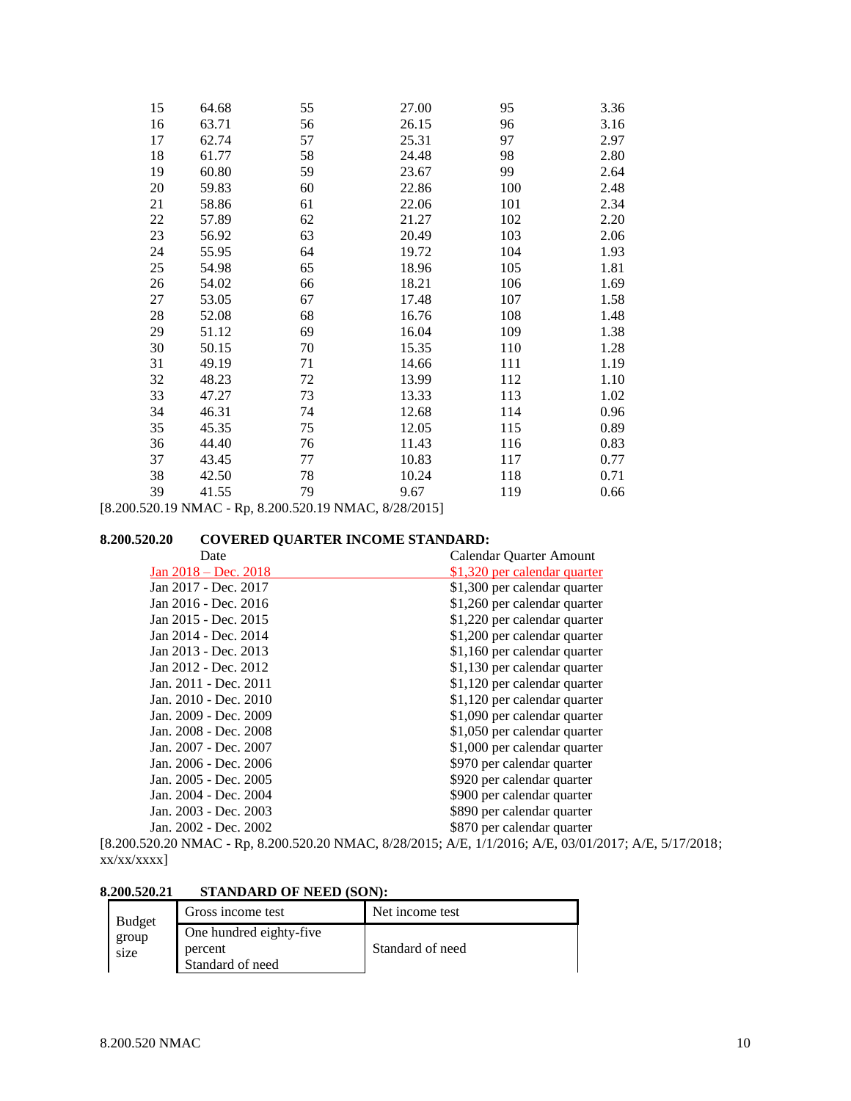| 15 | 64.68 | 55 | 27.00 | 95  | 3.36 |
|----|-------|----|-------|-----|------|
| 16 | 63.71 | 56 | 26.15 | 96  | 3.16 |
| 17 | 62.74 | 57 | 25.31 | 97  | 2.97 |
| 18 | 61.77 | 58 | 24.48 | 98  | 2.80 |
| 19 | 60.80 | 59 | 23.67 | 99  | 2.64 |
| 20 | 59.83 | 60 | 22.86 | 100 | 2.48 |
| 21 | 58.86 | 61 | 22.06 | 101 | 2.34 |
| 22 | 57.89 | 62 | 21.27 | 102 | 2.20 |
| 23 | 56.92 | 63 | 20.49 | 103 | 2.06 |
| 24 | 55.95 | 64 | 19.72 | 104 | 1.93 |
| 25 | 54.98 | 65 | 18.96 | 105 | 1.81 |
| 26 | 54.02 | 66 | 18.21 | 106 | 1.69 |
| 27 | 53.05 | 67 | 17.48 | 107 | 1.58 |
| 28 | 52.08 | 68 | 16.76 | 108 | 1.48 |
| 29 | 51.12 | 69 | 16.04 | 109 | 1.38 |
| 30 | 50.15 | 70 | 15.35 | 110 | 1.28 |
| 31 | 49.19 | 71 | 14.66 | 111 | 1.19 |
| 32 | 48.23 | 72 | 13.99 | 112 | 1.10 |
| 33 | 47.27 | 73 | 13.33 | 113 | 1.02 |
| 34 | 46.31 | 74 | 12.68 | 114 | 0.96 |
| 35 | 45.35 | 75 | 12.05 | 115 | 0.89 |
| 36 | 44.40 | 76 | 11.43 | 116 | 0.83 |
| 37 | 43.45 | 77 | 10.83 | 117 | 0.77 |
| 38 | 42.50 | 78 | 10.24 | 118 | 0.71 |
| 39 | 41.55 | 79 | 9.67  | 119 | 0.66 |

[8.200.520.19 NMAC - Rp, 8.200.520.19 NMAC, 8/28/2015]

#### **8.200.520.20 COVERED QUARTER INCOME STANDARD:**

| Date                                                                                                                 | Calendar Quarter Amount      |
|----------------------------------------------------------------------------------------------------------------------|------------------------------|
| Jan $2018 - Dec. 2018$                                                                                               | \$1,320 per calendar quarter |
| Jan 2017 - Dec. 2017                                                                                                 | \$1,300 per calendar quarter |
| Jan 2016 - Dec. 2016                                                                                                 | \$1,260 per calendar quarter |
| Jan 2015 - Dec. 2015                                                                                                 | \$1,220 per calendar quarter |
| Jan 2014 - Dec. 2014                                                                                                 | \$1,200 per calendar quarter |
| Jan 2013 - Dec. 2013                                                                                                 | \$1,160 per calendar quarter |
| Jan 2012 - Dec. 2012                                                                                                 | \$1,130 per calendar quarter |
| Jan. 2011 - Dec. 2011                                                                                                | \$1,120 per calendar quarter |
| Jan. 2010 - Dec. 2010                                                                                                | \$1,120 per calendar quarter |
| Jan. 2009 - Dec. 2009                                                                                                | \$1,090 per calendar quarter |
| Jan. 2008 - Dec. 2008                                                                                                | \$1,050 per calendar quarter |
| Jan. 2007 - Dec. 2007                                                                                                | \$1,000 per calendar quarter |
| Jan. 2006 - Dec. 2006                                                                                                | \$970 per calendar quarter   |
| Jan. 2005 - Dec. 2005                                                                                                | \$920 per calendar quarter   |
| Jan. 2004 - Dec. 2004                                                                                                | \$900 per calendar quarter   |
| Jan. 2003 - Dec. 2003                                                                                                | \$890 per calendar quarter   |
| Jan. 2002 - Dec. 2002                                                                                                | \$870 per calendar quarter   |
| 520.20 NMAC R <sub>n</sub> 8.200.520.20 NMAC 8/28/2015: $\Lambda$ E 1/1/2016: $\Lambda$ E 03/01/2017: $\Lambda$ E 5/ |                              |

[8.200.520.20 NMAC - Rp, 8.200.520.20 NMAC, 8/28/2015; A/E, 1/1/2016; A/E, 03/01/2017; A/E, 5/17/2018; xx/xx/xxxx]

# **8.200.520.21 STANDARD OF NEED (SON):**

| <b>Budget</b> | Gross income test                                      | Net income test  |
|---------------|--------------------------------------------------------|------------------|
| group<br>size | One hundred eighty-five<br>percent<br>Standard of need | Standard of need |